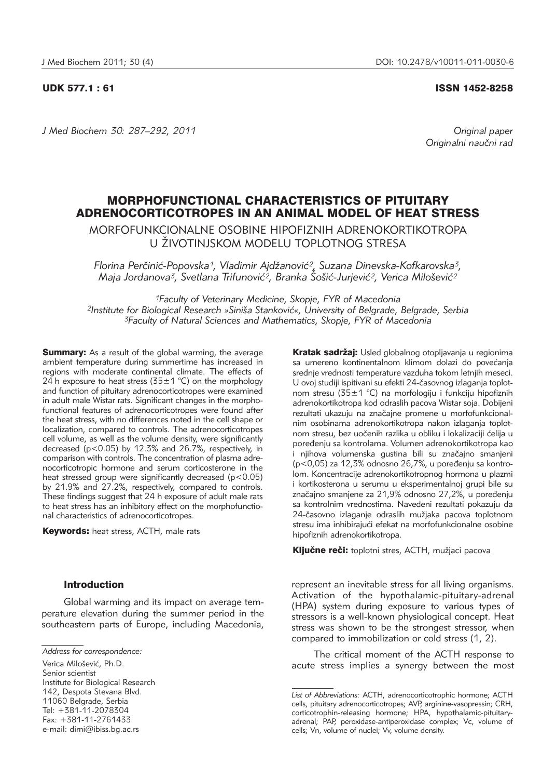### UDK 577.1 : 61 ISSN 1452-8258

*J Med Biochem 30: 287–292, 2011 Original paper*

Originalni naučni rad

# MORPHOFUNCTIONAL CHARACTERISTICS OF PITUITARY ADRENOCORTICOTROPES IN AN ANIMAL MODEL OF HEAT STRESS

MORFOFUNKCIONALNE OSOBINE HIPOFIZNIH ADRENOKORTIKOTROPA U ŽIVOTINJSKOM MODELU TOPLOTNOG STRESA

Florina Perčinić-Popovska<sup>1</sup>, Vladimir Ajdžanović<sup>2</sup>, Suzana Dinevska-Kofkarovska<sup>3</sup>, Maja Jordanova<sup>3</sup>, Svetlana Trifunović<sup>2</sup>, Branka Šošić-Jurjević<sup>2</sup>, Verica Milošević<sup>2</sup>

*1Faculty of Veterinary Medicine, Skopje, FYR of Macedonia* 2Institute for Biological Research »Siniša Stanković«, University of Belgrade, Belgrade, Serbia *3Faculty of Natural Sciences and Mathematics, Skopje, FYR of Macedonia*

**Summary:** As a result of the global warming, the average ambient temperature during summertime has increased in regions with moderate continental climate. The effects of 24 h exposure to heat stress (35 $\pm$ 1 °C) on the morphology and function of pituitary adrenocorticotropes were examined in adult male Wistar rats. Significant changes in the morphofunctional features of adrenocorticotropes were found after the heat stress, with no differences noted in the cell shape or localization, compared to controls. The adrenocorticotropes cell volume, as well as the volume density, were significantly decreased (p<0.05) by 12.3% and 26.7%, respectively, in comparison with controls. The concentration of plasma adrenocorticotropic hormone and serum corticosterone in the heat stressed group were significantly decreased (p<0.05) by 21.9% and 27.2%, respectively, compared to controls. These findings suggest that 24 h exposure of adult male rats to heat stress has an inhibitory effect on the morphofunctional characteristics of adrenocorticotropes.

Keywords: heat stress, ACTH, male rats

## Introduction

Global warming and its impact on average temperature elevation during the summer period in the southeastern parts of Europe, including Macedonia,

Verica Milošević, Ph.D. Senior scientist Institute for Biological Research 142, Despota Stevana Blvd. 11060 Belgrade, Serbia Tel: +381-11-2078304 Fax: +381-11-2761433 e-mail: dimi@ibiss.bg.ac.rs

Kratak sadržaj: Usled globalnog otopljavanja u regionima sa umereno kontinentalnom klimom dolazi do povećanja srednje vrednosti temperature vazduha tokom letnjih meseci. U ovoj studiji ispitivani su efekti 24-časovnog izlaganja toplotnom stresu (35±1 °C) na morfologiju i funkciju hipofiznih adre nokortikotropa kod odraslih pacova Wistar soja. Dobijeni rezultati ukazuju na značajne promene u morfofunkcionalnim osobinama adrenokortikotropa nakon izlaganja toplotnom stresu, bez uočenih razlika u obliku i lokalizaciji ćelija u poređenju sa kontrolama. Volumen adrenokortikotropa kao i njihova volumenska gustina bili su značajno smanjeni  $(p< 0.05)$  za 12,3% odnosno 26,7%, u poređenju sa kontrolom. Koncentracije adrenokortikotropnog hormona u plazmi i kortikosterona u serumu u eksperimentalnoj grupi bile su značajno smanjene za 21,9% odnosno 27,2%, u poređenju sa kontrolnim vrednostima. Navedeni rezultati pokazuju da 24-časovno izlaganje odraslih mužjaka pacova toplotnom stresu ima inhibirajući efekat na morfofunkcionalne osobine hipofiznih adrenokortikotropa.

Ključne reči: toplotni stres, ACTH, mužjaci pacova

represent an inevitable stress for all living organisms. Activation of the hypothalamic-pituitary-adrenal (HPA) system during exposure to various types of stressors is a well-known physiological concept. Heat stress was shown to be the strongest stressor, when compared to immobilization or cold stress (1, 2).

The critical moment of the ACTH response to acute stress implies a synergy between the most

*Address for correspondence:*

*List of Abbreviations:* ACTH, adrenocorticotrophic hormone; ACTH cells, pituitary adrenocorticotropes; AVP, arginine-vasopressin; CRH, corticotrophin-releasing hormone; HPA, hypothalamic-pituitaryadrenal; PAP, peroxidase-antiperoxidase complex; Vc, volume of cells; Vn, volume of nuclei; Vv, volume density.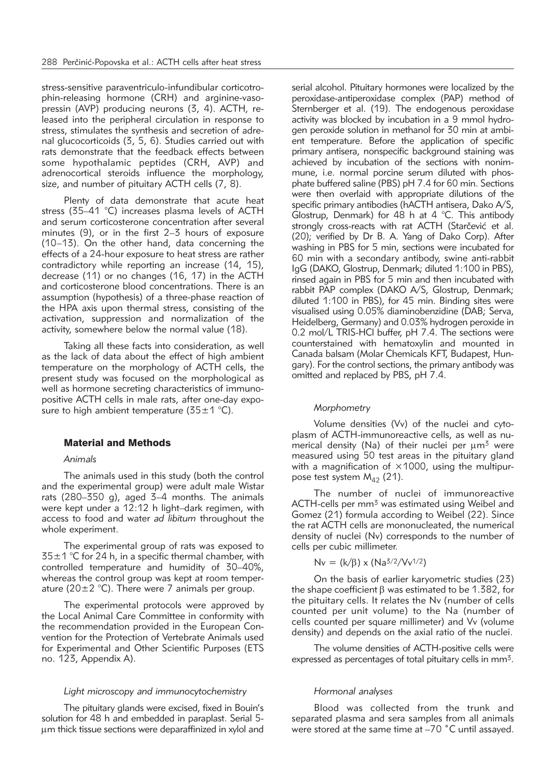stress-sensitive paraventriculo-infundibular corticotrophin-releasing hormone (CRH) and arginine-vasopressin (AVP) producing neurons (3, 4). ACTH, released into the peripheral circulation in response to stress, stimulates the synthesis and secretion of adrenal glucocorticoids (3, 5, 6). Studies carried out with rats demonstrate that the feedback effects between some hypothalamic peptides (CRH, AVP) and adrenocortical steroids influence the morphology, size, and number of pituitary ACTH cells (7, 8).

Plenty of data demonstrate that acute heat stress (35–41 °C) increases plasma levels of ACTH and serum corticosterone concentration after several minutes (9), or in the first 2–3 hours of exposure (10–13). On the other hand, data concerning the effects of a 24-hour exposure to heat stress are rather contradictory while reporting an increase (14, 15), decrease (11) or no changes (16, 17) in the ACTH and corticosterone blood concentrations. There is an assumption (hypothesis) of a three-phase reaction of the HPA axis upon thermal stress, consisting of the activation, suppression and normalization of the activity, somewhere below the normal value (18).

Taking all these facts into consideration, as well as the lack of data about the effect of high ambient temperature on the morphology of ACTH cells, the present study was focused on the morphological as well as hormone secreting characteristics of immunopositive ACTH cells in male rats, after one-day exposure to high ambient temperature  $(35 \pm 1 \degree C)$ .

## Material and Methods

#### *Animals*

The animals used in this study (both the control and the experimental group) were adult male Wistar rats (280–350 g), aged 3–4 months. The animals were kept under a 12:12 h light–dark regimen, with access to food and water *ad libitum* throughout the whole experiment.

The experimental group of rats was exposed to  $35\pm1$  °C for 24 h, in a specific thermal chamber, with controlled temperature and humidity of 30–40%, whereas the control group was kept at room temperature (20 $\pm$ 2 °C). There were 7 animals per group.

The experimental protocols were approved by the Local Animal Care Committee in conformity with the recommendation provided in the European Convention for the Protection of Vertebrate Animals used for Experimental and Other Scientific Purposes (ETS no. 123, Appendix A).

#### *Light microscopy and immunocytochemistry*

The pituitary glands were excised, fixed in Bouin's solution for 48 h and embedded in paraplast. Serial 5 mm thick tissue sections were deparaffinized in xylol and

serial alcohol. Pituitary hormones were localized by the peroxidase-antiperoxidase complex (PAP) method of Sternberger et al. (19). The endogenous peroxidase activity was blocked by incubation in a 9 mmol hydrogen peroxide solution in methanol for 30 min at ambient temperature. Before the application of specific primary antisera, nonspecific background staining was achieved by incubation of the sections with nonimmune, i.e. normal porcine serum diluted with phosphate buffered saline (PBS) pH 7.4 for 60 min. Sections were then overlaid with appropriate dilutions of the specific primary antibodies (hACTH antisera, Dako A/S, Glostrup, Denmark) for 48 h at 4 °C. This antibody strongly cross-reacts with rat ACTH (Starčević et al. (20); verified by Dr B. A. Yang of Dako Corp). After washing in PBS for 5 min, sections were incubated for 60 min with a secondary antibody, swine anti-rabbit IgG (DAKO, Glostrup, Denmark; diluted 1:100 in PBS), rinsed again in PBS for 5 min and then incubated with rabbit PAP complex (DAKO A/S, Glostrup, Denmark; diluted 1:100 in PBS), for 45 min. Binding sites were visualised using 0.05% diaminobenzidine (DAB; Serva, Heidelberg, Germany) and 0.03% hydrogen peroxide in 0.2 mol/L TRIS-HCl buffer, pH 7.4. The sections were counterstained with hematoxylin and mounted in Canada balsam (Molar Chemicals KFT, Budapest, Hungary). For the control sections, the primary antibody was omitted and replaced by PBS, pH 7.4.

#### *Morphometry*

Volume densities (Vv) of the nuclei and cytoplasm of ACTH-immunoreactive cells, as well as numerical density (Na) of their nuclei per  $\mu$ m<sup>3</sup> were measured using 50 test areas in the pituitary gland with a magnification of  $\times$ 1000, using the multipurpose test system  $M_{42}$  (21).

The number of nuclei of immunoreactive ACTH-cells per mm<sup>3</sup> was estimated using Weibel and Gomez (21) formula according to Weibel (22). Since the rat ACTH cells are mononucleated, the numerical density of nuclei (Nv) corresponds to the number of cells per cubic millimeter.

$$
Nv = (k/\beta) \times (Na^{3/2}/Vv^{1/2})
$$

On the basis of earlier karyometric studies (23) the shape coefficient  $\beta$  was estimated to be 1.382, for the pituitary cells. It relates the Nv (number of cells counted per unit volume) to the Na (number of cells counted per square millimeter) and Vv (volume density) and depends on the axial ratio of the nuclei.

The volume densities of ACTH-positive cells were expressed as percentages of total pituitary cells in mm3.

#### *Hormonal analyses*

Blood was collected from the trunk and separated plasma and sera samples from all animals were stored at the same time at –70 ˚C until assayed.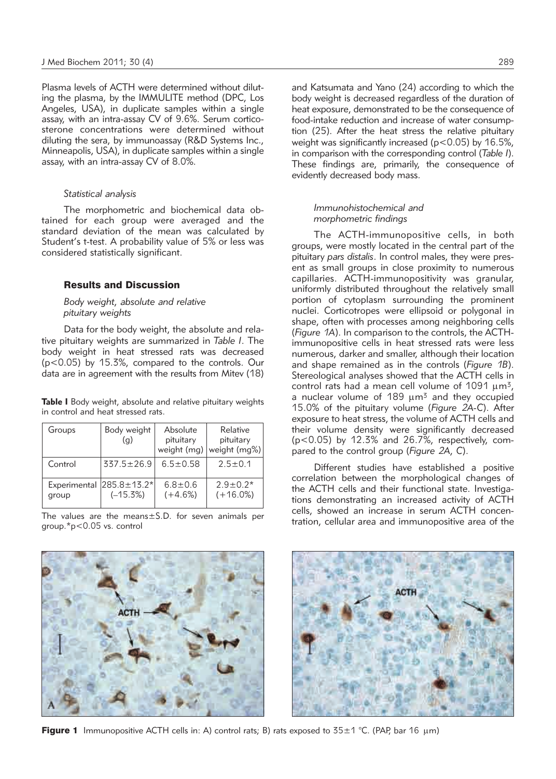Plasma levels of ACTH were determined without diluting the plasma, by the IMMULITE method (DPC, Los Angeles, USA), in duplicate samples within a single assay, with an intra-assay CV of 9.6%. Serum corticosterone concentrations were determined without diluting the sera, by immunoassay (R&D Systems Inc., Minneapolis, USA), in duplicate samples within a single assay, with an intra-assay CV of 8.0%.

#### *Statistical analysis*

The morphometric and biochemical data obtained for each group were averaged and the standard deviation of the mean was calculated by Student's t-test. A probability value of 5% or less was considered statistically significant.

## Results and Discussion

## *Body weight, absolute and relative pituitary weights*

Data for the body weight, the absolute and relative pituitary weights are summarized in *Table I*. The body weight in heat stressed rats was decreased (p<0.05) by 15.3%, compared to the controls. Our data are in agreement with the results from Mitev (18)

**Table I** Body weight, absolute and relative pituitary weights in control and heat stressed rats.

| Groups  | Body weight<br>(q)                              | Absolute<br>pituitary<br>weight (mg) | Relative<br>pituitary<br>weight (mg%) |
|---------|-------------------------------------------------|--------------------------------------|---------------------------------------|
| Control | $337.5 \pm 26.9$                                | $6.5 + 0.58$                         | $2.5 + 0.1$                           |
| group   | Experimental $ 285.8 \pm 13.2^* $<br>$(-15.3%)$ | $6.8 \pm 0.6$<br>$(+4.6%)$           | $2.9 \pm 0.2*$<br>$(+16.0%)$          |

The values are the means $\pm$ S.D. for seven animals per group.\*p<0.05 vs. control

and Katsumata and Yano (24) according to which the body weight is decreased regardless of the duration of heat exposure, demonstrated to be the consequence of food-intake reduction and increase of water consumption (25). After the heat stress the relative pituitary weight was significantly increased (p<0.05) by 16.5%, in comparison with the corresponding control (*Table I*). These findings are, primarily, the consequence of evidently decreased body mass.

## *Immunohistochemical and morphometric findings*

The ACTH-immunopositive cells, in both groups, were mostly located in the central part of the pituitary *pars distalis*. In control males, they were present as small groups in close proximity to numerous capillaries. ACTH-immunopositivity was granular, uniformly distributed throughout the relatively small portion of cytoplasm surrounding the prominent nuclei. Corticotropes were ellipsoid or polygonal in shape, often with processes among neighboring cells (*Figure 1A*). In comparison to the controls, the ACTHimmunopositive cells in heat stressed rats were less numerous, darker and smaller, although their location and shape remained as in the controls (*Figure 1B*). Stereological analyses showed that the ACTH cells in control rats had a mean cell volume of 1091  $\mu$ m<sup>3</sup>, a nuclear volume of  $189 \mu m^3$  and they occupied 15.0% of the pituitary volume (*Figure 2A-C*). After exposure to heat stress, the volume of ACTH cells and their volume density were significantly decreased ( $p$ <0.05) by 12.3% and 26.7%, respectively, compared to the control group (*Figure 2A, C*).

Different studies have established a positive correlation between the morphological changes of the ACTH cells and their functional state. Investigations demonstrating an increased activity of ACTH cells, showed an increase in serum ACTH concentration, cellular area and immunopositive area of the



Figure 1 Immunopositive ACTH cells in: A) control rats; B) rats exposed to  $35\pm1$  °C. (PAP, bar 16  $\mu$ m)

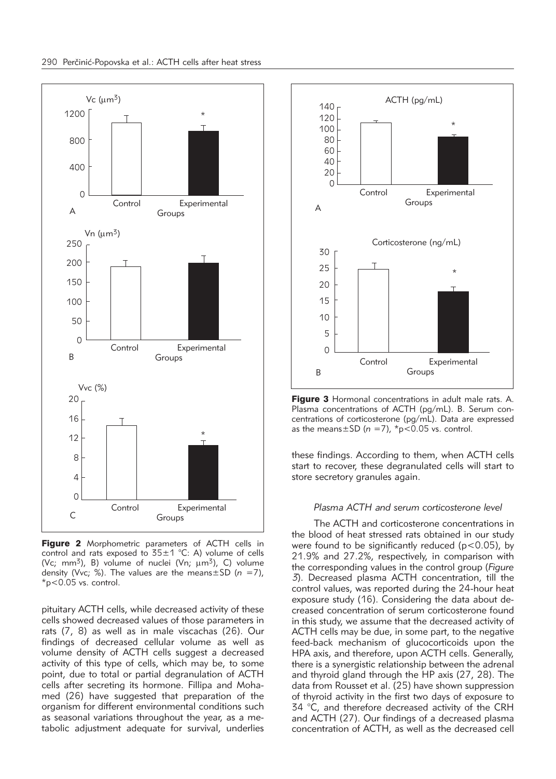

Figure 2 Morphometric parameters of ACTH cells in control and rats exposed to  $35\pm1$  °C: A) volume of cells (Vc; mm<sup>3</sup>), B) volume of nuclei (Vn;  $\mu$ m<sup>3</sup>), C) volume density (Vvc; %). The values are the means±SD (*n* =7), \*p<0.05 vs. control.

pituitary ACTH cells, while decreased activity of these cells showed decreased values of those parameters in rats (7, 8) as well as in male viscachas (26). Our findings of decreased cellular volume as well as volume density of ACTH cells suggest a decreased activity of this type of cells, which may be, to some point, due to total or partial degranulation of ACTH cells after secreting its hormone. Fillipa and Mohamed (26) have suggested that preparation of the organism for different environmental conditions such as seasonal variations throughout the year, as a me tabolic adjustment adequate for survival, underlies



Figure 3 Hormonal concentrations in adult male rats. A. Plasma concentrations of ACTH (pg/mL). B. Serum concentrations of corticosterone (pg/mL). Data are expressed as the means $\pm$ SD ( $n = 7$ ),  $\text{*}p$ <0.05 vs. control.

these findings. According to them, when ACTH cells start to recover, these degranulated cells will start to store secretory granules again.

## *Plasma ACTH and serum corticosterone level*

The ACTH and corticosterone concentrations in the blood of heat stressed rats obtained in our study were found to be significantly reduced ( $p$ <0.05), by 21.9% and 27.2%, respectively, in comparison with the corresponding values in the control group (*Figure 3*). Decreased plasma ACTH concentration, till the control values, was reported during the 24-hour heat exposure study (16). Considering the data about decreased concentration of serum corticosterone found in this study, we assume that the decreased activity of ACTH cells may be due, in some part, to the negative feed-back mechanism of glucocorticoids upon the HPA axis, and therefore, upon ACTH cells. Generally, there is a synergistic relationship between the adrenal and thyroid gland through the HP axis (27, 28). The data from Rousset et al. (25) have shown suppression of thyroid activity in the first two days of exposure to 34 °C, and therefore decreased activity of the CRH and ACTH (27). Our findings of a decreased plasma concentration of ACTH, as well as the decreased cell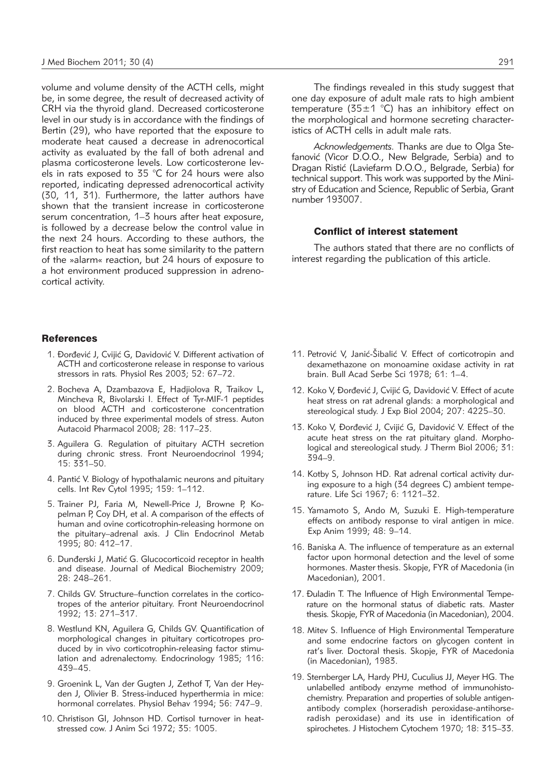volume and volume density of the ACTH cells, might be, in some degree, the result of decreased activity of CRH via the thyroid gland. Decreased corticosterone level in our study is in accordance with the findings of Bertin (29), who have reported that the exposure to moderate heat caused a decrease in adrenocortical activity as evaluated by the fall of both adrenal and plasma corticosterone levels. Low corticosterone levels in rats exposed to 35 °C for 24 hours were also reported, indicating depressed adrenocortical activity (30, 11, 31). Furthermore, the latter authors have shown that the transient increase in corticosterone serum concentration, 1–3 hours after heat exposure, is followed by a decrease below the control value in the next 24 hours. According to these authors, the first reaction to heat has some similarity to the pattern of the »alarm« reaction, but 24 hours of exposure to a hot environment produced suppression in adrenocortical activity.

### **References**

- 1. Đorđević J, Cvijić G, Davidović V. Different activation of ACTH and corticosterone release in response to various stressors in rats*.* Physiol Res 2003; 52: 67–72.
- 2. Bocheva A, Dzambazova E, Hadjiolova R, Traikov L, Mincheva R, Bivolarski I. Effect of Tyr-MIF-1 peptides on blood ACTH and corticosterone concentration induced by three experimental models of stress. Auton Autacoid Pharmacol 2008; 28: 117–23.
- 3. Aguilera G. Regulation of pituitary ACTH secretion during chronic stress. Front Neuroendocrinol 1994; 15: 331–50.
- 4. Pantić V. Biology of hypothalamic neurons and pituitary cells. Int Rev Cytol 1995; 159: 1–112.
- 5. Trainer PJ, Faria M, Newell-Price J, Browne P, Kopelman P, Coy DH, et al. A comparison of the effects of human and ovine corticotrophin-releasing hormone on the pituitary–adrenal axis. J Clin Endocrinol Metab 1995; 80: 412–17.
- 6. Dunđerski J, Matić G. Glucocorticoid receptor in health and disease. Journal of Medical Biochemistry 2009; 28: 248–261.
- 7. Childs GV. Structure–function correlates in the corticotropes of the anterior pituitary. Front Neuroendocrinol 1992; 13: 271–317.
- 8. Westlund KN, Aguilera G, Childs GV. Quantification of morphological changes in pituitary corticotropes produced by in vivo corticotrophin-releasing factor stimulation and adrenalectomy. Endocrinology 1985; 116: 439–45.
- 9. Groenink L, Van der Gugten J, Zethof T, Van der Heyden J, Olivier B. Stress-induced hyperthermia in mice: hormonal correlates. Physiol Behav 1994; 56: 747-9.
- 10. Christison GI, Johnson HD. Cortisol turnover in heatstressed cow. J Anim Sci 1972; 35: 1005.

The findings revealed in this study suggest that one day exposure of adult male rats to high ambient temperature (35±1 °C) has an inhibitory effect on the morphological and hormone secreting characteristics of ACTH cells in adult male rats.

Acknowledgements. Thanks are due to Olga Stefanović (Vicor D.O.O., New Belgrade, Serbia) and to Dragan Ristić (Laviefarm D.O.O., Belgrade, Serbia) for technical support. This work was supported by the Ministry of Education and Science, Republic of Serbia, Grant number 193007.

## Conflict of interest statement

The authors stated that there are no conflicts of interest regarding the publication of this article.

- 11. Petrović V, Janić-Šibalić V. Effect of corticotropin and dexamethazone on monoamine oxidase activity in rat brain. Bull Acad Serbe Sci 1978; 61: 1–4.
- 12. Koko V, Đorđević J, Cvijić G, Davidović V. Effect of acute heat stress on rat adrenal glands: a morphological and stereological study. J Exp Biol 2004; 207: 4225–30.
- 13. Koko V, Đorđević J, Cvijić G, Davidović V. Effect of the acute heat stress on the rat pituitary gland. Morphological and stereological study. J Therm Biol 2006; 31: 394–9.
- 14. Kotby S, Johnson HD. Rat adrenal cortical activity during exposure to a high (34 degrees C) ambient temperature. Life Sci 1967; 6: 1121–32.
- 15. Yamamoto S, Ando M, Suzuki E. High-temperature effects on antibody response to viral antigen in mice. Exp Anim 1999; 48: 9–14.
- 16. Baniska A. The influence of temperature as an external factor upon hormonal detection and the level of some hormones. Master thesis. Skopje, FYR of Macedonia (in Macedonian), 2001.
- 17. Đuladin T. The Influence of High Environmental Temperature on the hormonal status of diabetic rats. Master thesis*.* Skopje, FYR of Macedonia (in Macedonian), 2004.
- 18. Mitev S. Influence of High Environmental Temperature and some endocrine factors on glycogen content in rat's liver. Doctoral thesis. Skopje, FYR of Macedonia (in Macedonian), 1983.
- 19. Sternberger LA, Hardy PHJ, Cuculius JJ, Meyer HG. The unlabelled antibody enzyme method of immunohistochemistry. Preparation and properties of soluble antigenantibody complex (horseradish peroxidase-antihorseradish peroxidase) and its use in identification of spirochetes. J Histochem Cytochem 1970; 18: 315–33.